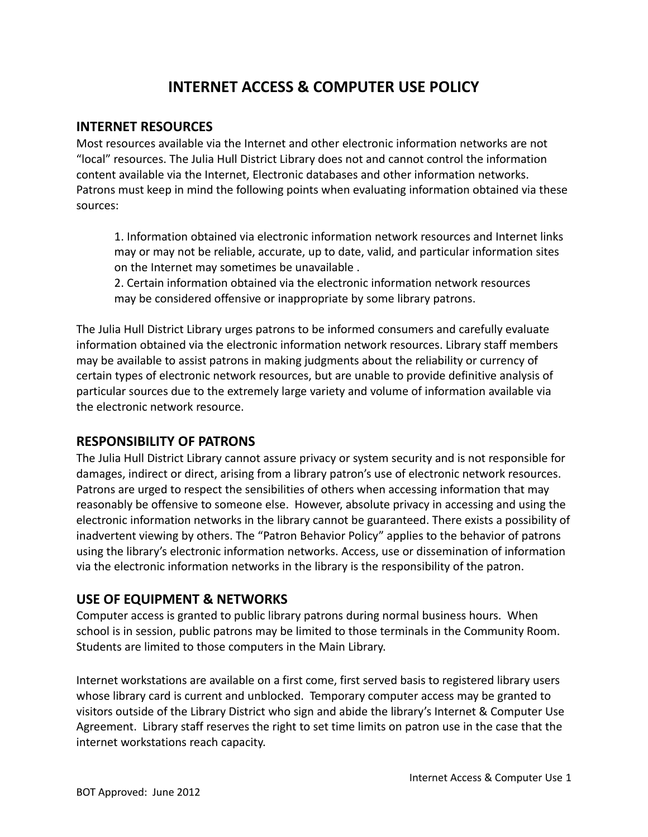# **INTERNET ACCESS & COMPUTER USE POLICY**

#### **INTERNET RESOURCES**

Most resources available via the Internet and other electronic information networks are not "local" resources. The Julia Hull District Library does not and cannot control the information content available via the Internet, Electronic databases and other information networks. Patrons must keep in mind the following points when evaluating information obtained via these sources:

1. Information obtained via electronic information network resources and Internet links may or may not be reliable, accurate, up to date, valid, and particular information sites on the Internet may sometimes be unavailable .

2. Certain information obtained via the electronic information network resources may be considered offensive or inappropriate by some library patrons.

The Julia Hull District Library urges patrons to be informed consumers and carefully evaluate information obtained via the electronic information network resources. Library staff members may be available to assist patrons in making judgments about the reliability or currency of certain types of electronic network resources, but are unable to provide definitive analysis of particular sources due to the extremely large variety and volume of information available via the electronic network resource.

## **RESPONSIBILITY OF PATRONS**

The Julia Hull District Library cannot assure privacy or system security and is not responsible for damages, indirect or direct, arising from a library patron's use of electronic network resources. Patrons are urged to respect the sensibilities of others when accessing information that may reasonably be offensive to someone else. However, absolute privacy in accessing and using the electronic information networks in the library cannot be guaranteed. There exists a possibility of inadvertent viewing by others. The "Patron Behavior Policy" applies to the behavior of patrons using the library's electronic information networks. Access, use or dissemination of information via the electronic information networks in the library is the responsibility of the patron.

## **USE OF EQUIPMENT & NETWORKS**

Computer access is granted to public library patrons during normal business hours. When school is in session, public patrons may be limited to those terminals in the Community Room. Students are limited to those computers in the Main Library.

Internet workstations are available on a first come, first served basis to registered library users whose library card is current and unblocked. Temporary computer access may be granted to visitors outside of the Library District who sign and abide the library's Internet & Computer Use Agreement. Library staff reserves the right to set time limits on patron use in the case that the internet workstations reach capacity.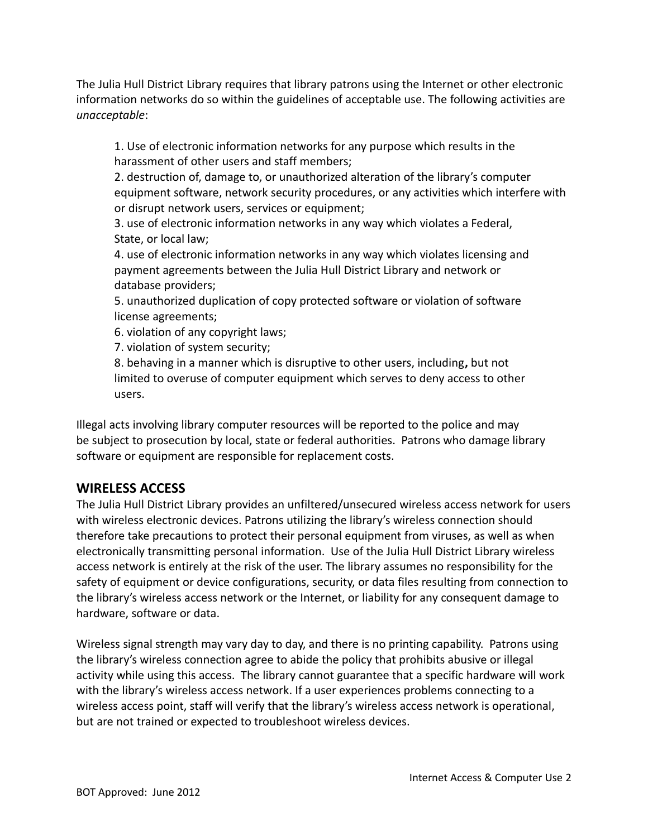The Julia Hull District Library requires that library patrons using the Internet or other electronic information networks do so within the guidelines of acceptable use. The following activities are *unacceptable*:

1. Use of electronic information networks for any purpose which results in the harassment of other users and staff members;

2. destruction of, damage to, or unauthorized alteration of the library's computer equipment software, network security procedures, or any activities which interfere with or disrupt network users, services or equipment;

3. use of electronic information networks in any way which violates a Federal, State, or local law;

4. use of electronic information networks in any way which violates licensing and payment agreements between the Julia Hull District Library and network or database providers;

5. unauthorized duplication of copy protected software or violation of software license agreements;

6. violation of any copyright laws;

7. violation of system security;

8. behaving in a manner which is disruptive to other users, including**,** but not limited to overuse of computer equipment which serves to deny access to other users.

Illegal acts involving library computer resources will be reported to the police and may be subject to prosecution by local, state or federal authorities. Patrons who damage library software or equipment are responsible for replacement costs.

## **WIRELESS ACCESS**

The Julia Hull District Library provides an unfiltered/unsecured wireless access network for users with wireless electronic devices. Patrons utilizing the library's wireless connection should therefore take precautions to protect their personal equipment from viruses, as well as when electronically transmitting personal information. Use of the Julia Hull District Library wireless access network is entirely at the risk of the user. The library assumes no responsibility for the safety of equipment or device configurations, security, or data files resulting from connection to the library's wireless access network or the Internet, or liability for any consequent damage to hardware, software or data.

Wireless signal strength may vary day to day, and there is no printing capability. Patrons using the library's wireless connection agree to abide the policy that prohibits abusive or illegal activity while using this access. The library cannot guarantee that a specific hardware will work with the library's wireless access network. If a user experiences problems connecting to a wireless access point, staff will verify that the library's wireless access network is operational, but are not trained or expected to troubleshoot wireless devices.